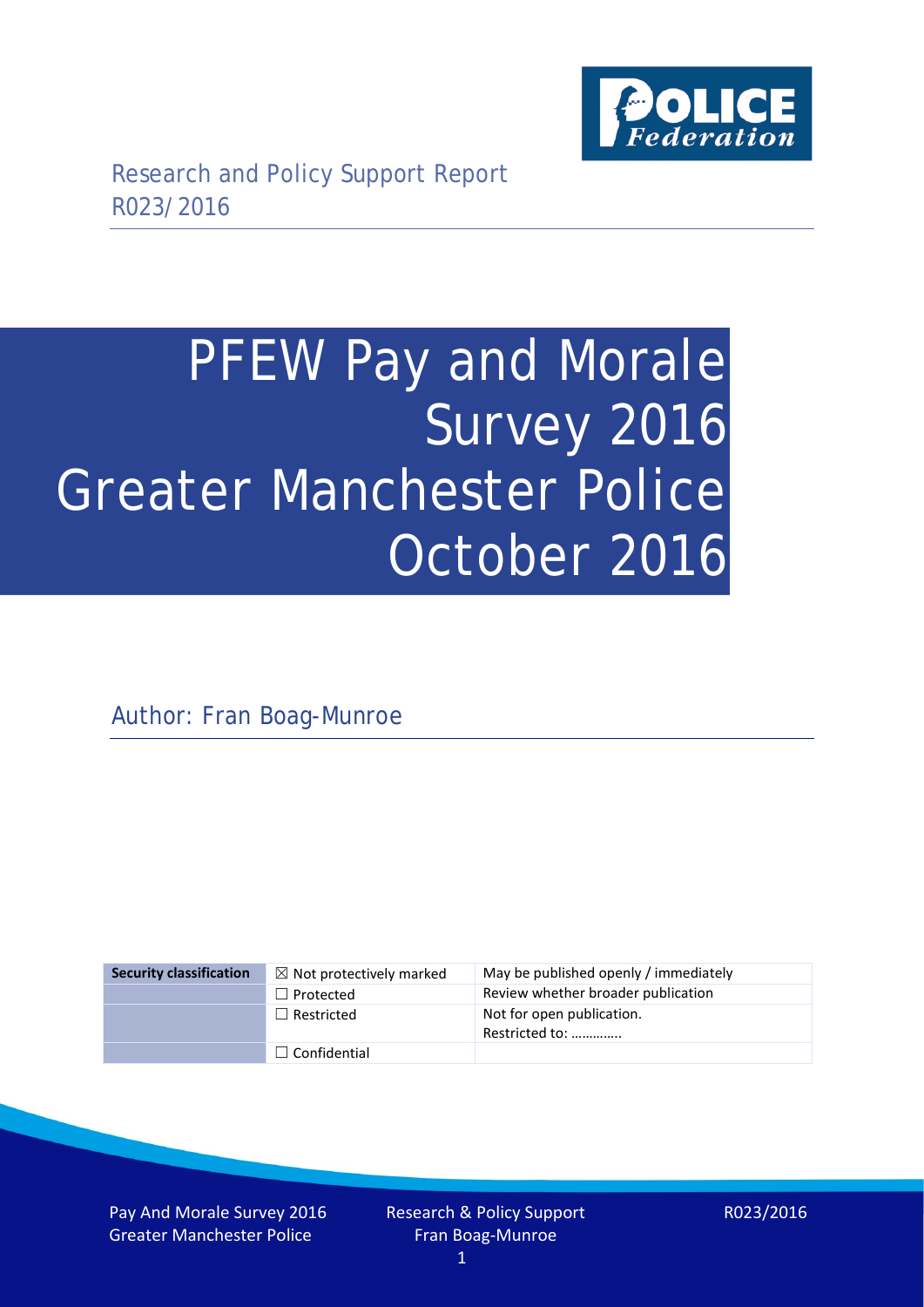

# PFEW Pay and Morale Survey 2016 Greater Manchester Police October 2016

Author: Fran Boag-Munroe

| <b>Security classification</b> | $\boxtimes$ Not protectively marked | May be published openly / immediately       |
|--------------------------------|-------------------------------------|---------------------------------------------|
|                                | $\Box$ Protected                    | Review whether broader publication          |
|                                | $\Box$ Restricted                   | Not for open publication.<br>Restricted to: |
|                                | $\Box$ Confidential                 |                                             |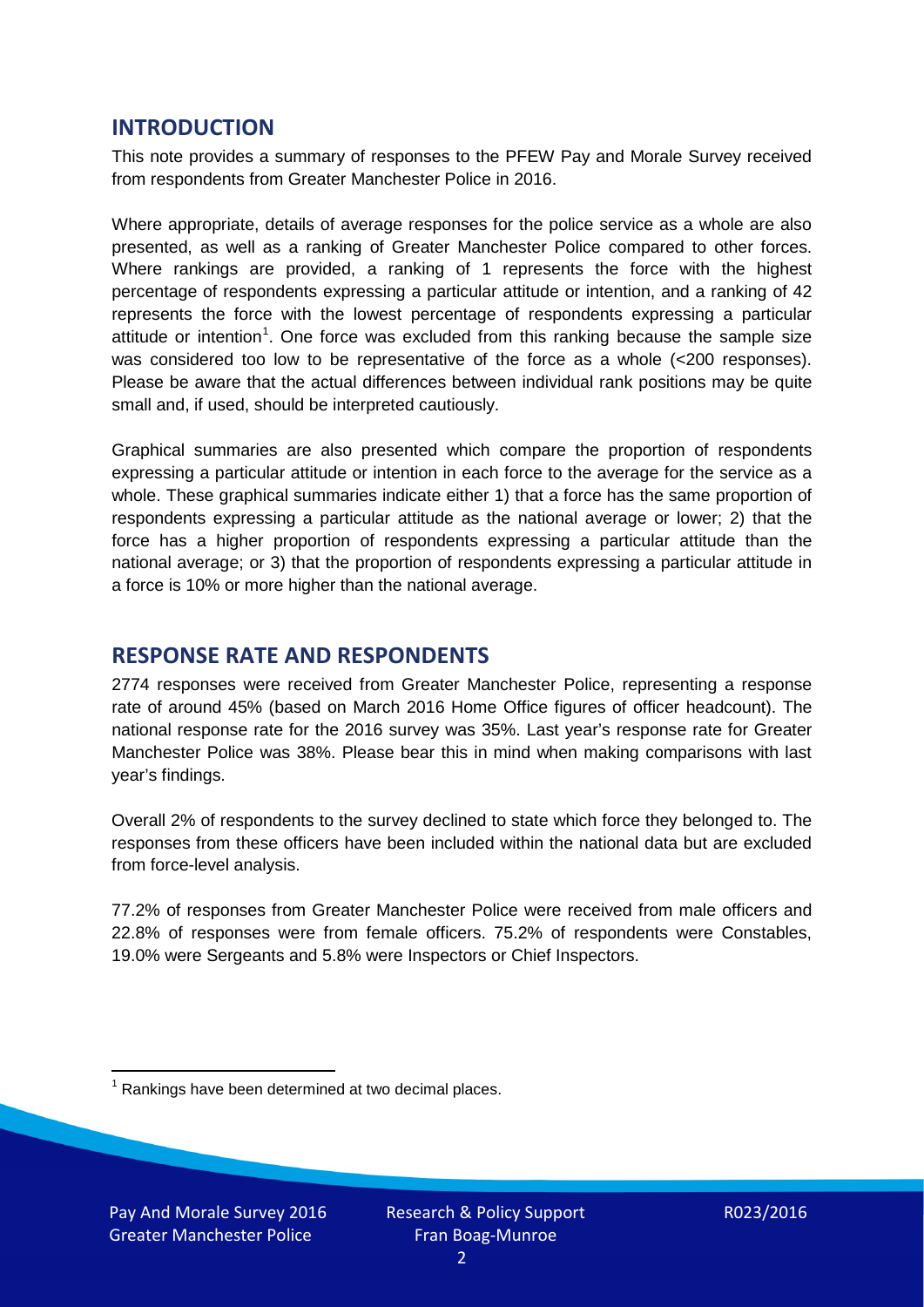## **INTRODUCTION**

This note provides a summary of responses to the PFEW Pay and Morale Survey received from respondents from Greater Manchester Police in 2016.

Where appropriate, details of average responses for the police service as a whole are also presented, as well as a ranking of Greater Manchester Police compared to other forces. Where rankings are provided, a ranking of 1 represents the force with the highest percentage of respondents expressing a particular attitude or intention, and a ranking of 42 represents the force with the lowest percentage of respondents expressing a particular attitude or intention<sup>[1](#page-1-0)</sup>. One force was excluded from this ranking because the sample size was considered too low to be representative of the force as a whole (<200 responses). Please be aware that the actual differences between individual rank positions may be quite small and, if used, should be interpreted cautiously.

Graphical summaries are also presented which compare the proportion of respondents expressing a particular attitude or intention in each force to the average for the service as a whole. These graphical summaries indicate either 1) that a force has the same proportion of respondents expressing a particular attitude as the national average or lower; 2) that the force has a higher proportion of respondents expressing a particular attitude than the national average; or 3) that the proportion of respondents expressing a particular attitude in a force is 10% or more higher than the national average.

## **RESPONSE RATE AND RESPONDENTS**

2774 responses were received from Greater Manchester Police, representing a response rate of around 45% (based on March 2016 Home Office figures of officer headcount). The national response rate for the 2016 survey was 35%. Last year's response rate for Greater Manchester Police was 38%. Please bear this in mind when making comparisons with last year's findings.

Overall 2% of respondents to the survey declined to state which force they belonged to. The responses from these officers have been included within the national data but are excluded from force-level analysis.

77.2% of responses from Greater Manchester Police were received from male officers and 22.8% of responses were from female officers. 75.2% of respondents were Constables, 19.0% were Sergeants and 5.8% were Inspectors or Chief Inspectors.

<span id="page-1-0"></span> $1$  Rankings have been determined at two decimal places.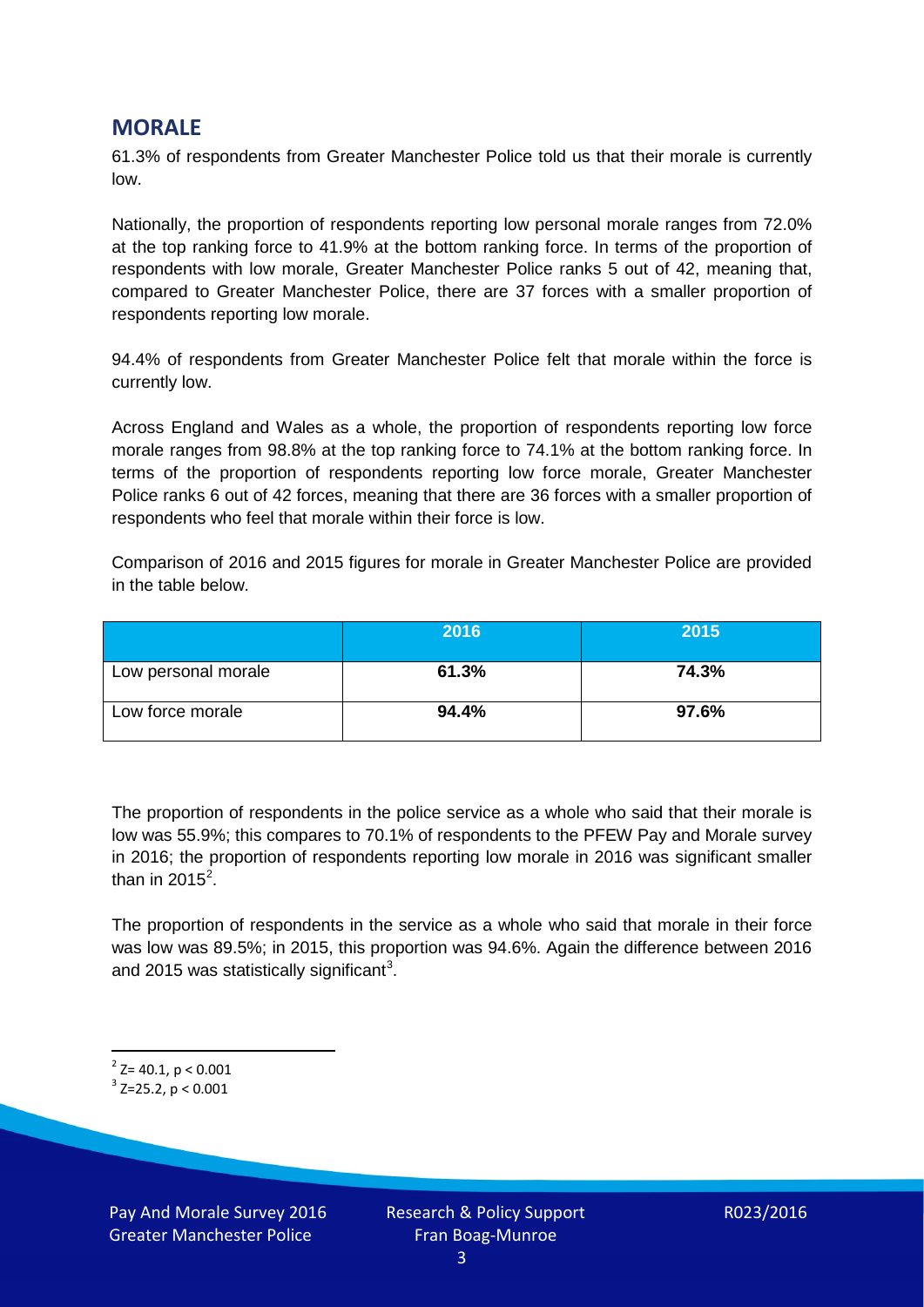## **MORALE**

61.3% of respondents from Greater Manchester Police told us that their morale is currently low.

Nationally, the proportion of respondents reporting low personal morale ranges from 72.0% at the top ranking force to 41.9% at the bottom ranking force. In terms of the proportion of respondents with low morale, Greater Manchester Police ranks 5 out of 42, meaning that, compared to Greater Manchester Police, there are 37 forces with a smaller proportion of respondents reporting low morale.

94.4% of respondents from Greater Manchester Police felt that morale within the force is currently low.

Across England and Wales as a whole, the proportion of respondents reporting low force morale ranges from 98.8% at the top ranking force to 74.1% at the bottom ranking force. In terms of the proportion of respondents reporting low force morale, Greater Manchester Police ranks 6 out of 42 forces, meaning that there are 36 forces with a smaller proportion of respondents who feel that morale within their force is low.

Comparison of 2016 and 2015 figures for morale in Greater Manchester Police are provided in the table below.

|                     | 2016  | 2015  |
|---------------------|-------|-------|
| Low personal morale | 61.3% | 74.3% |
| Low force morale    | 94.4% | 97.6% |

The proportion of respondents in the police service as a whole who said that their morale is low was 55.9%; this compares to 70.1% of respondents to the PFEW Pay and Morale survey in 2016; the proportion of respondents reporting low morale in 2016 was significant smaller than in [2](#page-2-0)015<sup>2</sup>.

The proportion of respondents in the service as a whole who said that morale in their force was low was 89.5%; in 2015, this proportion was 94.6%. Again the difference between 2016 and 2015 was statistically significant<sup>[3](#page-2-1)</sup>.

<span id="page-2-0"></span> $2$ <sup>2</sup> Z= 40.1, p < 0.001

<span id="page-2-1"></span> $3$  Z=25.2, p < 0.001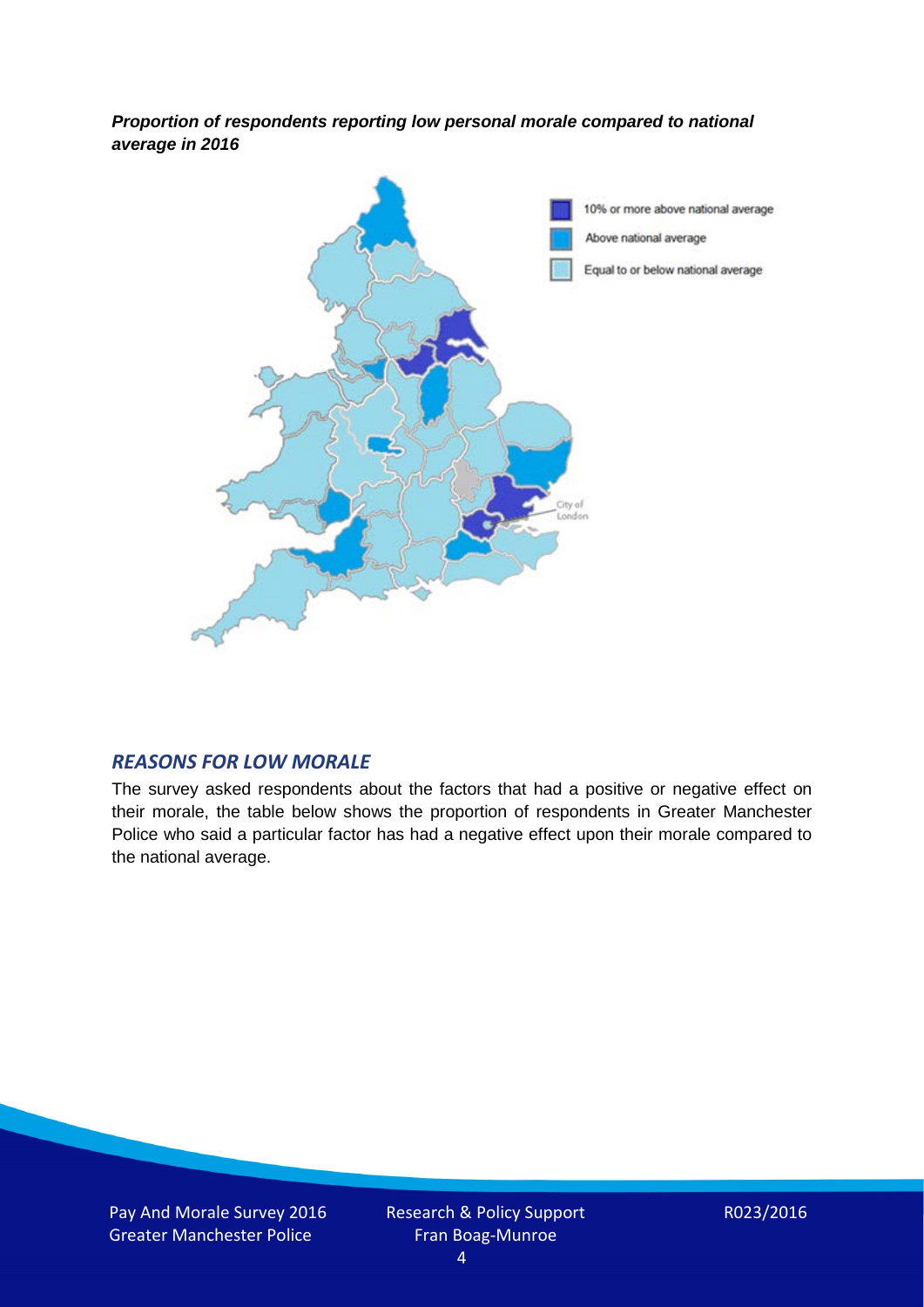*Proportion of respondents reporting low personal morale compared to national average in 2016*



#### *REASONS FOR LOW MORALE*

The survey asked respondents about the factors that had a positive or negative effect on their morale, the table below shows the proportion of respondents in Greater Manchester Police who said a particular factor has had a negative effect upon their morale compared to the national average.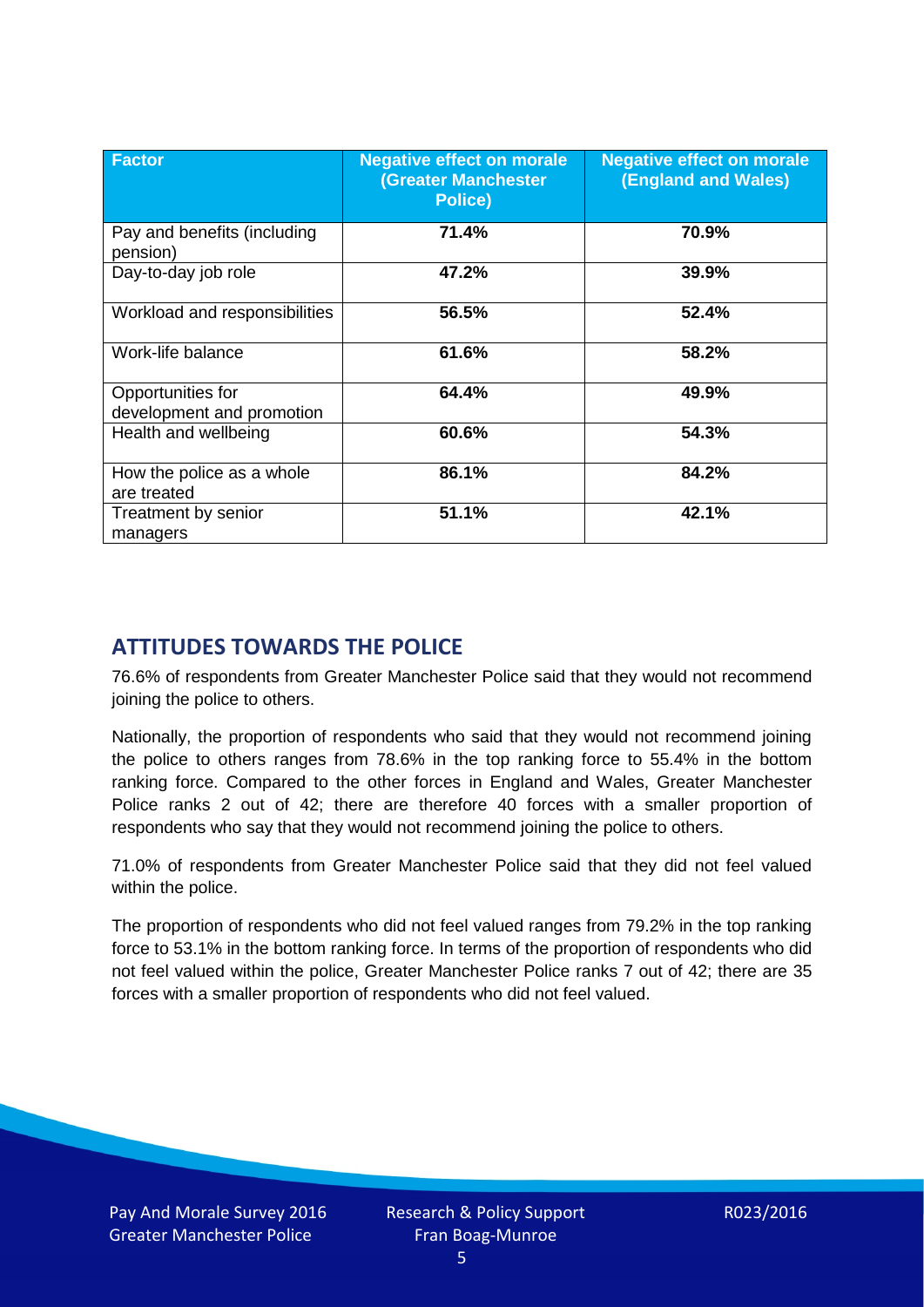| <b>Factor</b>                                  | <b>Negative effect on morale</b><br><b>(Greater Manchester</b><br>Police) | <b>Negative effect on morale</b><br><b>(England and Wales)</b> |
|------------------------------------------------|---------------------------------------------------------------------------|----------------------------------------------------------------|
| Pay and benefits (including<br>pension)        | 71.4%                                                                     | 70.9%                                                          |
| Day-to-day job role                            | 47.2%                                                                     | 39.9%                                                          |
| Workload and responsibilities                  | 56.5%                                                                     | 52.4%                                                          |
| Work-life balance                              | 61.6%                                                                     | 58.2%                                                          |
| Opportunities for<br>development and promotion | 64.4%                                                                     | 49.9%                                                          |
| Health and wellbeing                           | 60.6%                                                                     | 54.3%                                                          |
| How the police as a whole<br>are treated       | 86.1%                                                                     | 84.2%                                                          |
| Treatment by senior<br>managers                | 51.1%                                                                     | 42.1%                                                          |

# **ATTITUDES TOWARDS THE POLICE**

76.6% of respondents from Greater Manchester Police said that they would not recommend joining the police to others.

Nationally, the proportion of respondents who said that they would not recommend joining the police to others ranges from 78.6% in the top ranking force to 55.4% in the bottom ranking force. Compared to the other forces in England and Wales, Greater Manchester Police ranks 2 out of 42; there are therefore 40 forces with a smaller proportion of respondents who say that they would not recommend joining the police to others.

71.0% of respondents from Greater Manchester Police said that they did not feel valued within the police.

The proportion of respondents who did not feel valued ranges from 79.2% in the top ranking force to 53.1% in the bottom ranking force. In terms of the proportion of respondents who did not feel valued within the police, Greater Manchester Police ranks 7 out of 42; there are 35 forces with a smaller proportion of respondents who did not feel valued.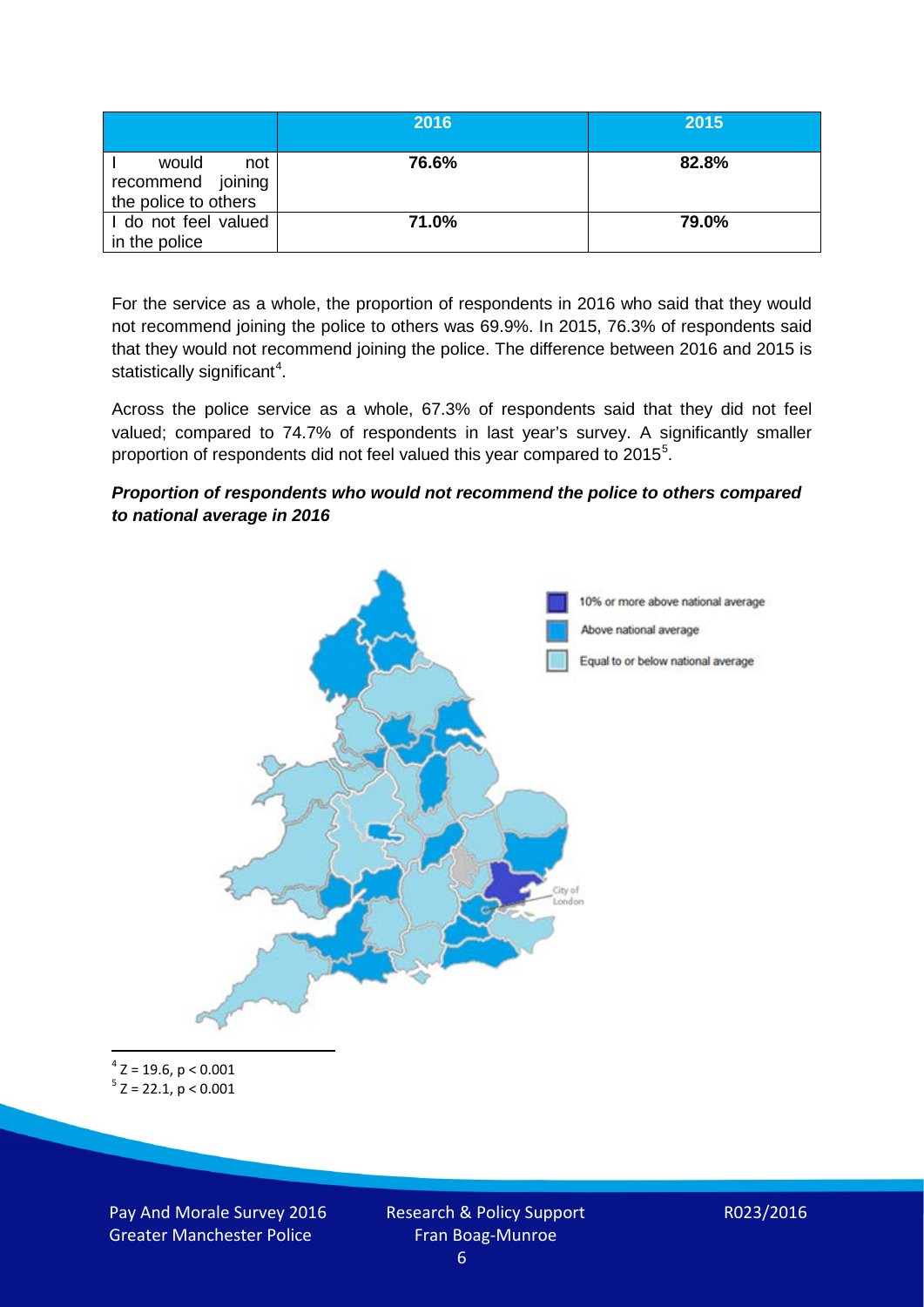|                                                           | 2016  | 2015  |
|-----------------------------------------------------------|-------|-------|
| would<br>not<br>recommend joining<br>the police to others | 76.6% | 82.8% |
| I do not feel valued<br>in the police                     | 71.0% | 79.0% |

For the service as a whole, the proportion of respondents in 2016 who said that they would not recommend joining the police to others was 69.9%. In 2015, 76.3% of respondents said that they would not recommend joining the police. The difference between 2016 and 2015 is statistically significant<sup>[4](#page-5-0)</sup>.

Across the police service as a whole, 67.3% of respondents said that they did not feel valued; compared to 74.7% of respondents in last year's survey. A significantly smaller proportion of respondents did not feel valued this year compared to 201[5](#page-5-1)<sup>5</sup>.

#### *Proportion of respondents who would not recommend the police to others compared to national average in 2016*



<span id="page-5-1"></span><span id="page-5-0"></span> $4$  Z = 19.6, p < 0.001  $5$  Z = 22.1, p < 0.001

Pay And Morale Survey 2016 Greater Manchester Police

Research & Policy Support Fran Boag-Munroe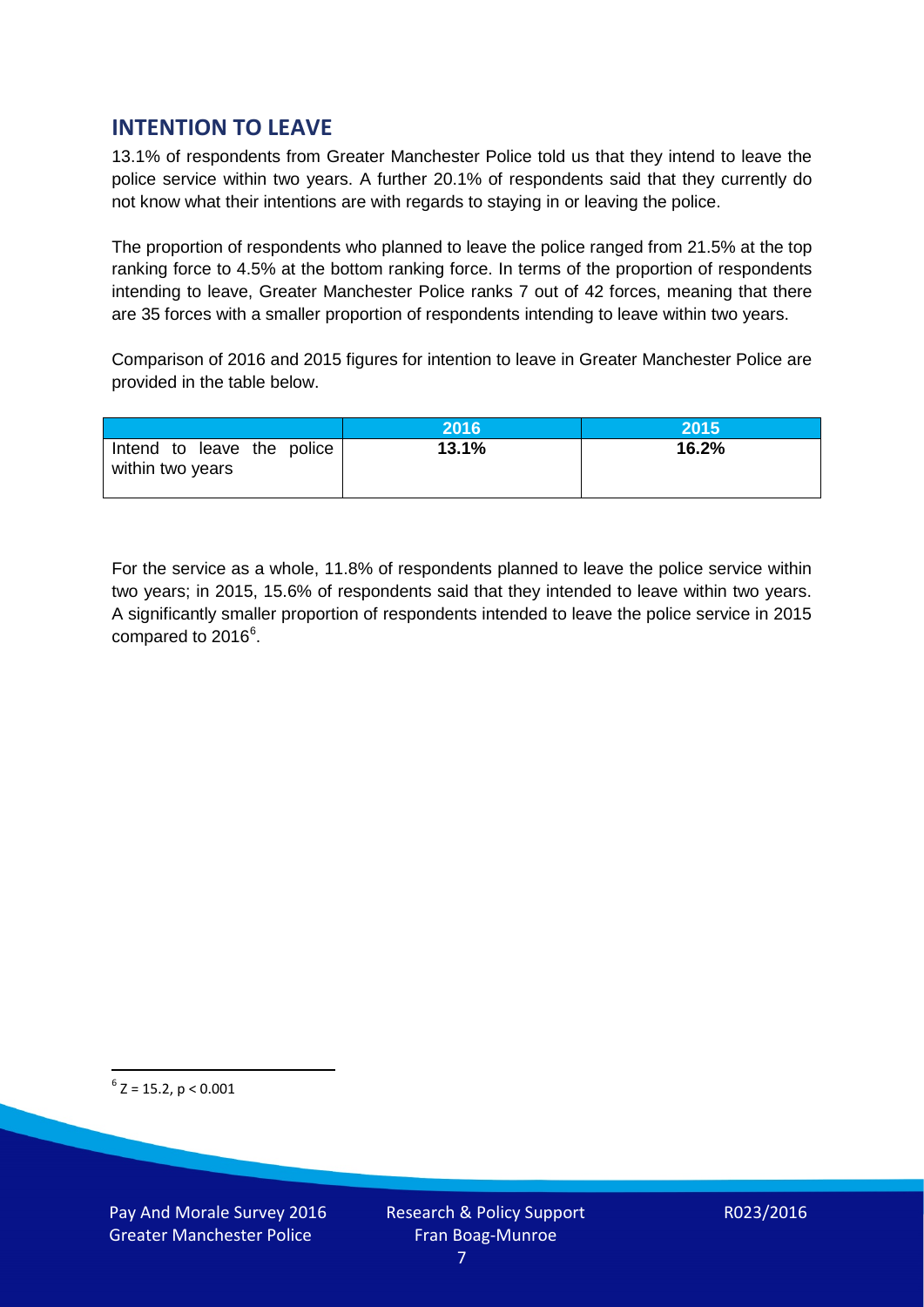## **INTENTION TO LEAVE**

13.1% of respondents from Greater Manchester Police told us that they intend to leave the police service within two years. A further 20.1% of respondents said that they currently do not know what their intentions are with regards to staying in or leaving the police.

The proportion of respondents who planned to leave the police ranged from 21.5% at the top ranking force to 4.5% at the bottom ranking force. In terms of the proportion of respondents intending to leave, Greater Manchester Police ranks 7 out of 42 forces, meaning that there are 35 forces with a smaller proportion of respondents intending to leave within two years.

Comparison of 2016 and 2015 figures for intention to leave in Greater Manchester Police are provided in the table below.

|                                                | 2016  | <b>2015</b> |
|------------------------------------------------|-------|-------------|
| Intend to leave the police<br>within two years | 13.1% | 16.2%       |

For the service as a whole, 11.8% of respondents planned to leave the police service within two years; in 2015, 15.6% of respondents said that they intended to leave within two years. A significantly smaller proportion of respondents intended to leave the police service in 2015 compared to 201[6](#page-6-0)<sup>6</sup>.

<span id="page-6-0"></span> $6$  Z = 15.2, p < 0.001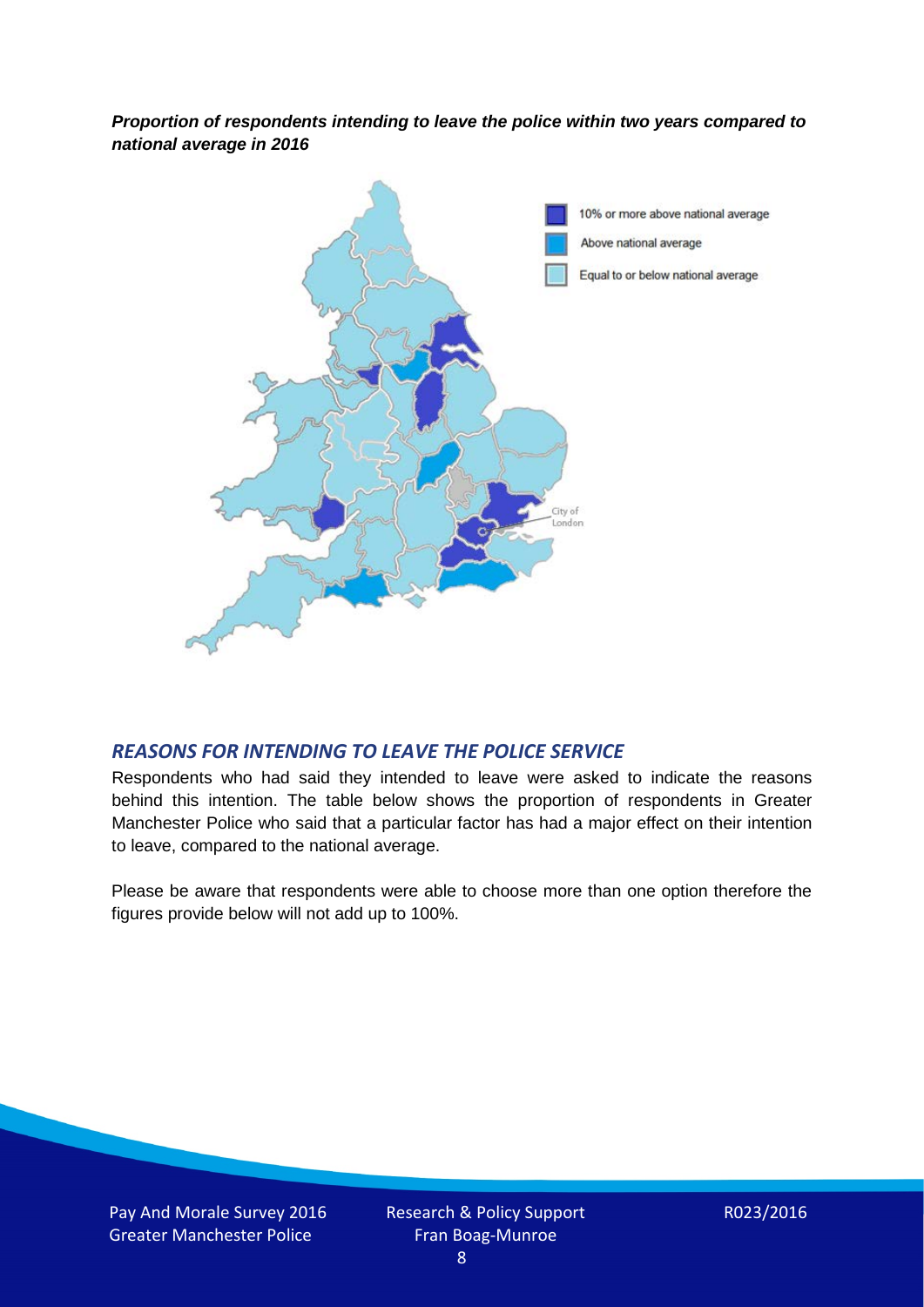*Proportion of respondents intending to leave the police within two years compared to national average in 2016*



### *REASONS FOR INTENDING TO LEAVE THE POLICE SERVICE*

Respondents who had said they intended to leave were asked to indicate the reasons behind this intention. The table below shows the proportion of respondents in Greater Manchester Police who said that a particular factor has had a major effect on their intention to leave, compared to the national average.

Please be aware that respondents were able to choose more than one option therefore the figures provide below will not add up to 100%.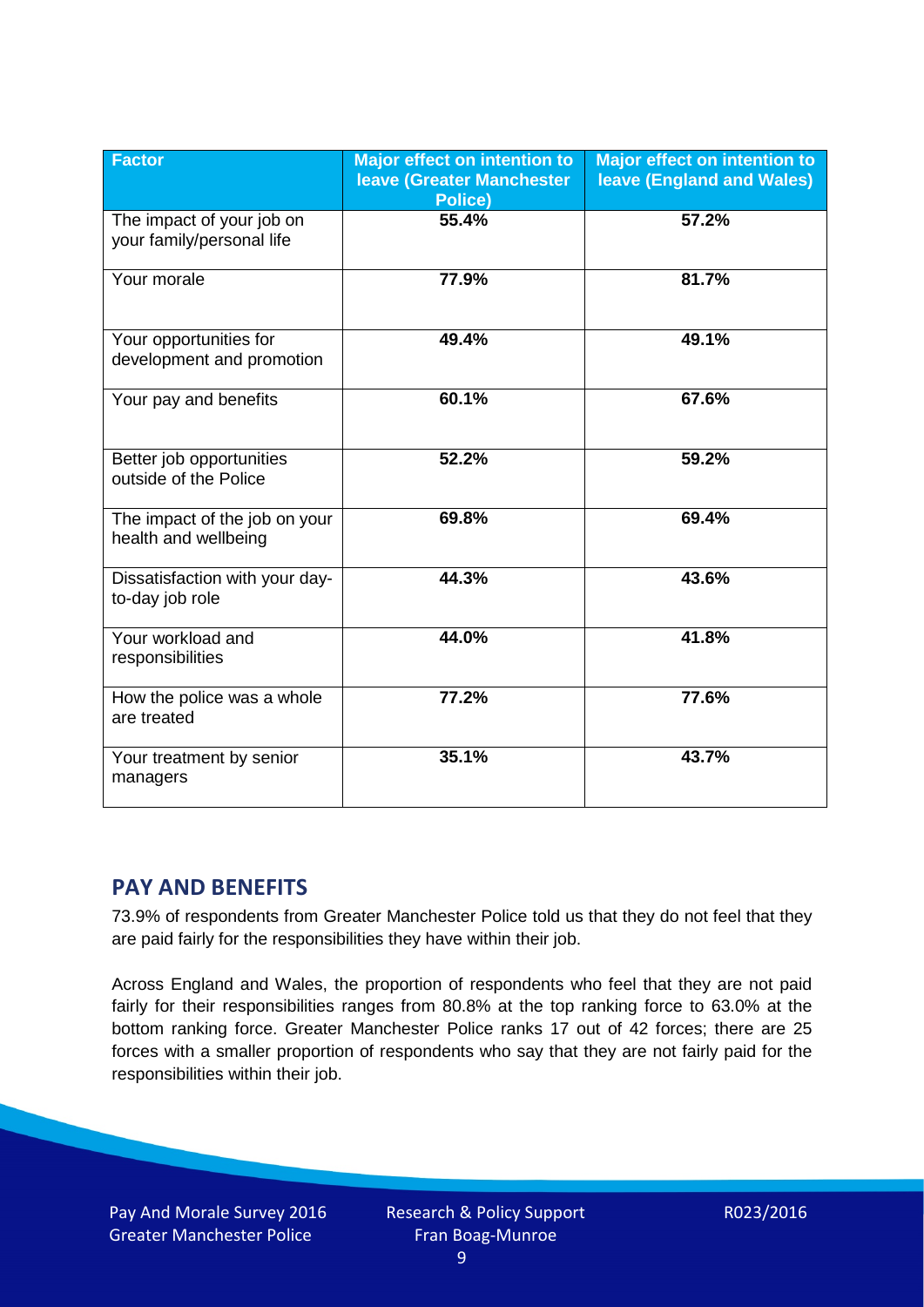| <b>Factor</b>                                          | <b>Major effect on intention to</b><br><b>leave (Greater Manchester)</b><br><b>Police)</b> | <b>Major effect on intention to</b><br><b>leave (England and Wales)</b> |
|--------------------------------------------------------|--------------------------------------------------------------------------------------------|-------------------------------------------------------------------------|
| The impact of your job on<br>your family/personal life | 55.4%                                                                                      | 57.2%                                                                   |
| Your morale                                            | 77.9%                                                                                      | 81.7%                                                                   |
| Your opportunities for<br>development and promotion    | 49.4%                                                                                      | 49.1%                                                                   |
| Your pay and benefits                                  | 60.1%                                                                                      | 67.6%                                                                   |
| Better job opportunities<br>outside of the Police      | 52.2%                                                                                      | 59.2%                                                                   |
| The impact of the job on your<br>health and wellbeing  | 69.8%                                                                                      | 69.4%                                                                   |
| Dissatisfaction with your day-<br>to-day job role      | 44.3%                                                                                      | 43.6%                                                                   |
| Your workload and<br>responsibilities                  | 44.0%                                                                                      | 41.8%                                                                   |
| How the police was a whole<br>are treated              | 77.2%                                                                                      | 77.6%                                                                   |
| Your treatment by senior<br>managers                   | 35.1%                                                                                      | 43.7%                                                                   |

## **PAY AND BENEFITS**

73.9% of respondents from Greater Manchester Police told us that they do not feel that they are paid fairly for the responsibilities they have within their job.

Across England and Wales, the proportion of respondents who feel that they are not paid fairly for their responsibilities ranges from 80.8% at the top ranking force to 63.0% at the bottom ranking force. Greater Manchester Police ranks 17 out of 42 forces; there are 25 forces with a smaller proportion of respondents who say that they are not fairly paid for the responsibilities within their job.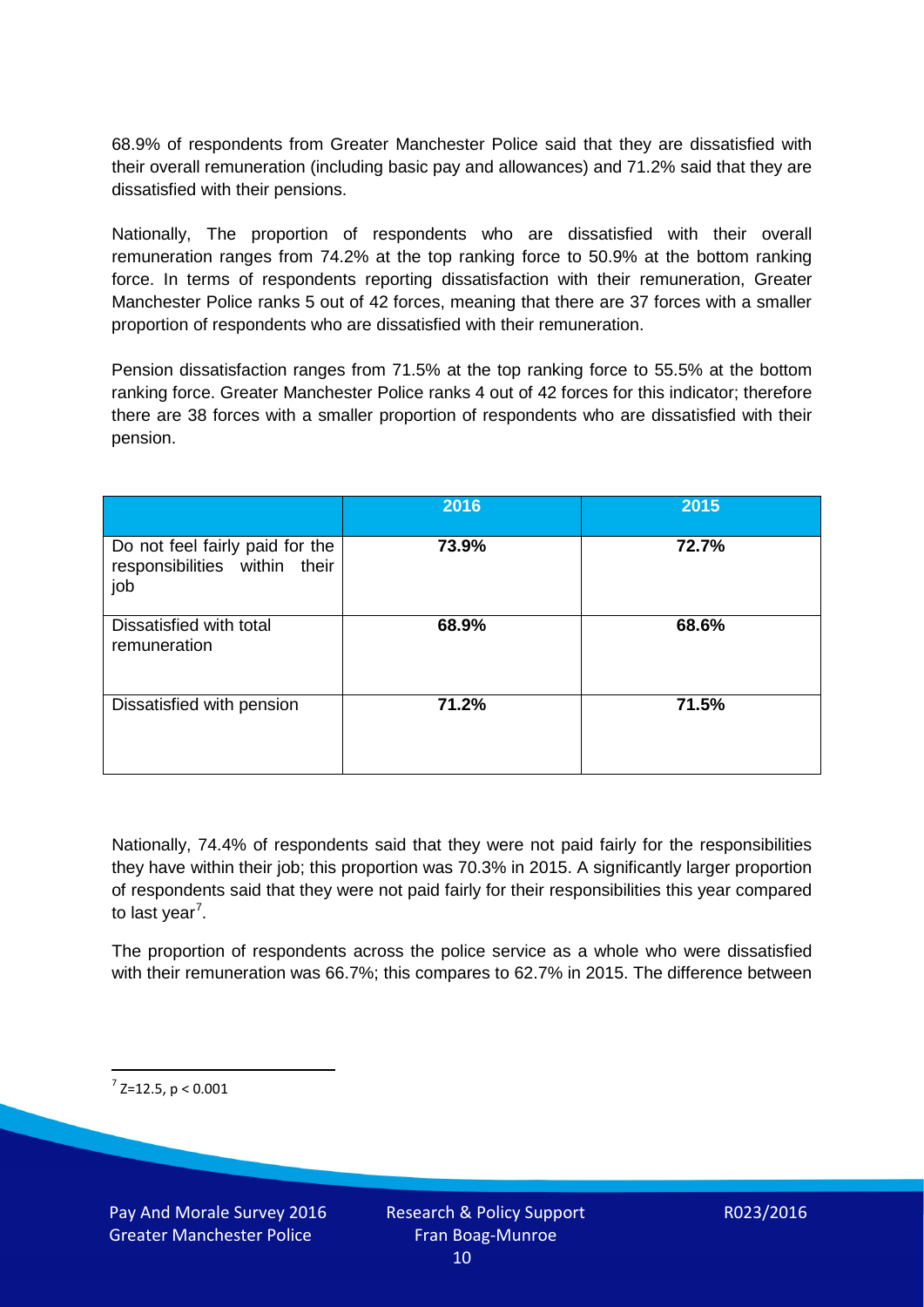68.9% of respondents from Greater Manchester Police said that they are dissatisfied with their overall remuneration (including basic pay and allowances) and 71.2% said that they are dissatisfied with their pensions.

Nationally, The proportion of respondents who are dissatisfied with their overall remuneration ranges from 74.2% at the top ranking force to 50.9% at the bottom ranking force. In terms of respondents reporting dissatisfaction with their remuneration, Greater Manchester Police ranks 5 out of 42 forces, meaning that there are 37 forces with a smaller proportion of respondents who are dissatisfied with their remuneration.

Pension dissatisfaction ranges from 71.5% at the top ranking force to 55.5% at the bottom ranking force. Greater Manchester Police ranks 4 out of 42 forces for this indicator; therefore there are 38 forces with a smaller proportion of respondents who are dissatisfied with their pension.

|                                                                         | 2016  | 2015  |
|-------------------------------------------------------------------------|-------|-------|
| Do not feel fairly paid for the<br>responsibilities within their<br>job | 73.9% | 72.7% |
| Dissatisfied with total<br>remuneration                                 | 68.9% | 68.6% |
| Dissatisfied with pension                                               | 71.2% | 71.5% |

Nationally, 74.4% of respondents said that they were not paid fairly for the responsibilities they have within their job; this proportion was 70.3% in 2015. A significantly larger proportion of respondents said that they were not paid fairly for their responsibilities this year compared to last year<sup>[7](#page-9-0)</sup>.

The proportion of respondents across the police service as a whole who were dissatisfied with their remuneration was 66.7%; this compares to 62.7% in 2015. The difference between

<span id="page-9-0"></span> $7$  Z=12.5, p < 0.001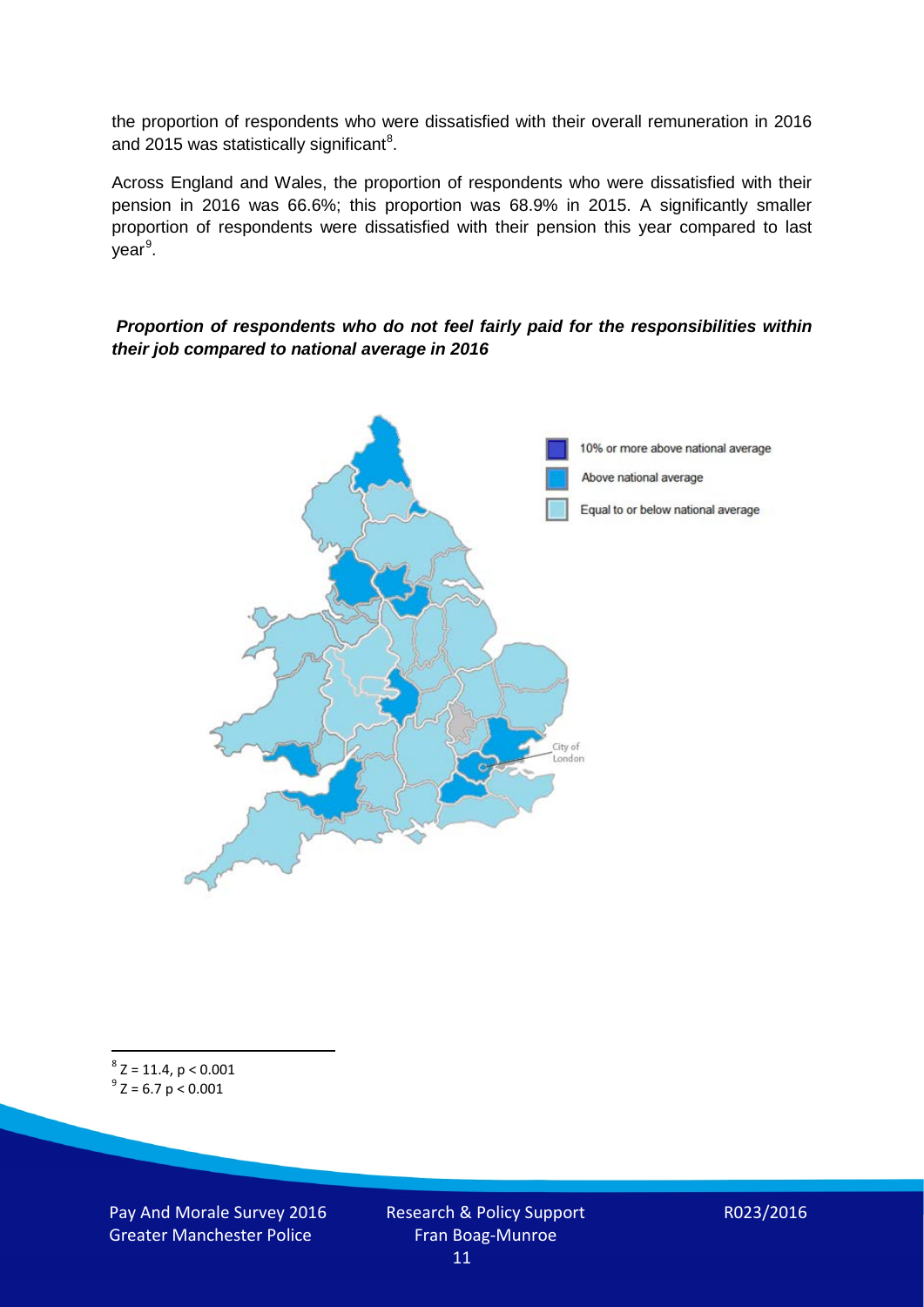the proportion of respondents who were dissatisfied with their overall remuneration in 2016 and 2015 was statistically significant<sup>[8](#page-10-0)</sup>.

Across England and Wales, the proportion of respondents who were dissatisfied with their pension in 2016 was 66.6%; this proportion was 68.9% in 2015. A significantly smaller proportion of respondents were dissatisfied with their pension this year compared to last year<sup>[9](#page-10-1)</sup>.

#### *Proportion of respondents who do not feel fairly paid for the responsibilities within their job compared to national average in 2016*



<span id="page-10-1"></span><span id="page-10-0"></span> $8$  Z = 11.4, p < 0.001  $9^{\circ}$  Z = 6.7 p < 0.001

Pay And Morale Survey 2016 Greater Manchester Police

Research & Policy Support Fran Boag-Munroe 11

R023/2016